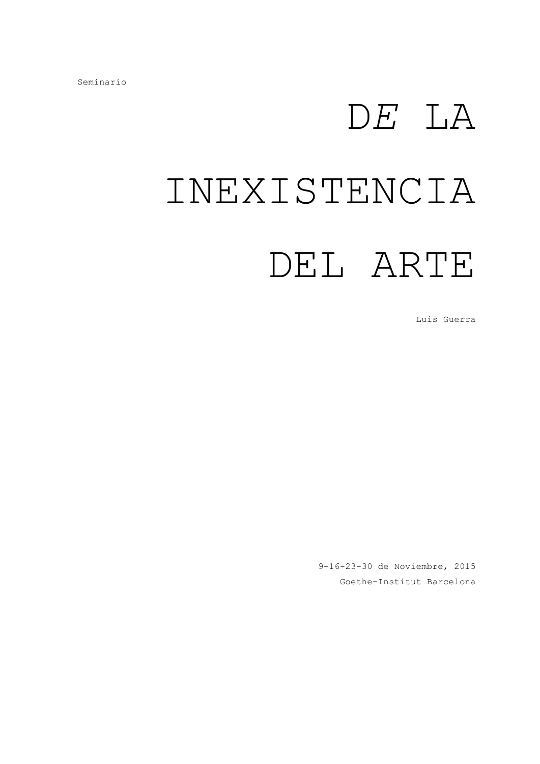## D*E* LA INEXISTENCIA DEL ARTE

Luis Guerra

9-16-23-30 de Noviembre, 2015 Goethe-Institut Barcelona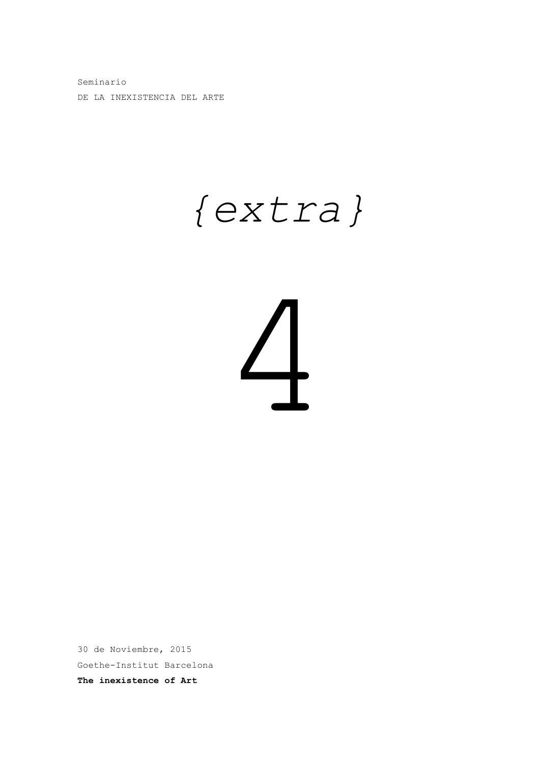Seminario DE LA INEXISTENCIA DEL ARTE

### *{extra}*

# 4

30 de Noviembre, 2015 Goethe-Institut Barcelona **The inexistence of Art**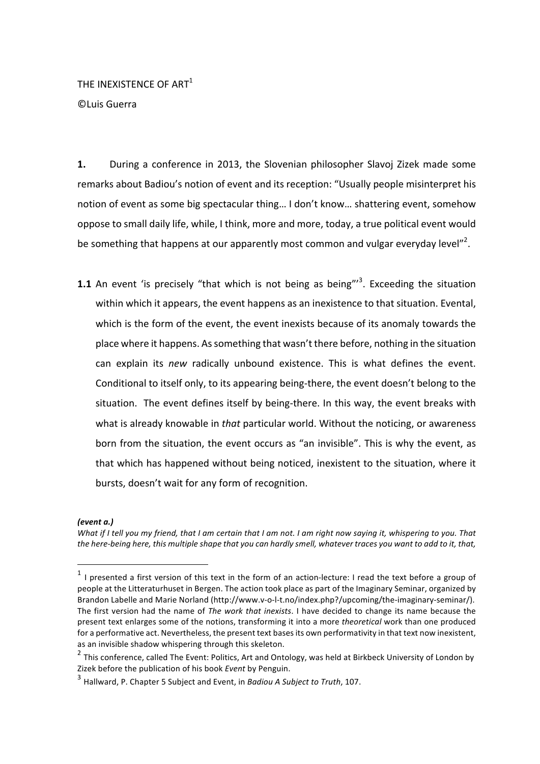THE INEXISTENCE OF ART $^1$ 

©Luis Guerra

**1.** During a conference in 2013, the Slovenian philosopher Slavoj Zizek made some remarks about Badiou's notion of event and its reception: "Usually people misinterpret his notion of event as some big spectacular thing... I don't know... shattering event, somehow oppose to small daily life, while, I think, more and more, today, a true political event would be something that happens at our apparently most common and vulgar everyday level"<sup>2</sup>.

**1.1** An event 'is precisely "that which is not being as being"<sup>3</sup>. Exceeding the situation within which it appears, the event happens as an inexistence to that situation. Evental, which is the form of the event, the event inexists because of its anomaly towards the place where it happens. As something that wasn't there before, nothing in the situation can explain its *new* radically unbound existence. This is what defines the event. Conditional to itself only, to its appearing being-there, the event doesn't belong to the situation. The event defines itself by being-there. In this way, the event breaks with what is already knowable in *that* particular world. Without the noticing, or awareness born from the situation, the event occurs as "an invisible". This is why the event, as that which has happened without being noticed, inexistent to the situation, where it bursts, doesn't wait for any form of recognition.

### *(event a.)*

 

*What* if I tell you my friend, that I am certain that I am not. I am right now saying it, whispering to you. That the here-being here, this multiple shape that you can hardly smell, whatever traces you want to add to it, that,

 $1$  I presented a first version of this text in the form of an action-lecture: I read the text before a group of people at the Litteraturhuset in Bergen. The action took place as part of the Imaginary Seminar, organized by Brandon Labelle and Marie Norland (http://www.v-o-l-t.no/index.php?/upcoming/the-imaginary-seminar/). The first version had the name of *The work that inexists*. I have decided to change its name because the present text enlarges some of the notions, transforming it into a more theoretical work than one produced for a performative act. Nevertheless, the present text bases its own performativity in that text now inexistent, as an invisible shadow whispering through this skeleton.

 $2$  This conference, called The Event: Politics, Art and Ontology, was held at Birkbeck University of London by Zizek before the publication of his book *Event* by Penguin.

<sup>&</sup>lt;sup>3</sup> Hallward, P. Chapter 5 Subject and Event, in *Badiou A Subject to Truth*, 107.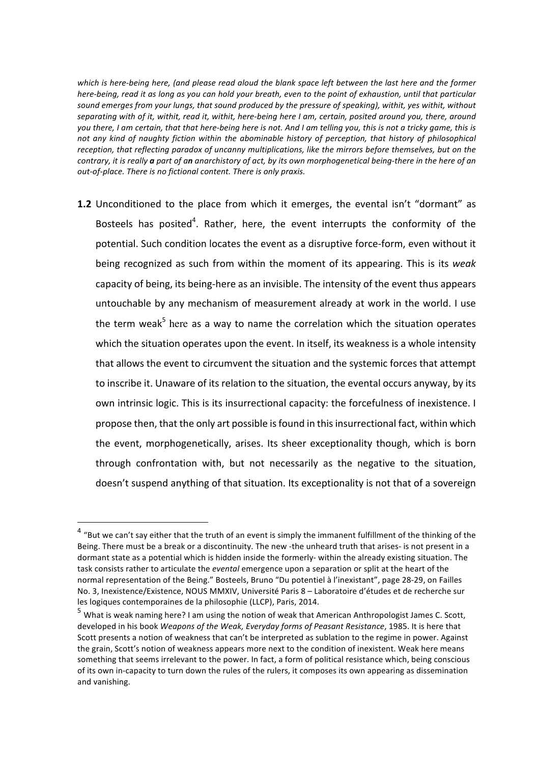which is here-being here, (and please read aloud the blank space left between the last here and the former *here-being, read it as long as you can hold your breath, even to the point of exhaustion, until that particular* sound emerges from your lungs, that sound produced by the pressure of speaking), withit, yes withit, without separating with of it, withit, read it, withit, here-being here I am, certain, posited around you, there, around you there, I am certain, that that here-being here is not. And I am telling you, this is not a tricky game, this is not any kind of naughty fiction within the abominable history of perception, that history of philosophical reception, that reflecting paradox of uncanny multiplications, like the mirrors before themselves, but on the *contrary, it is really a part of an anarchistory of act, by its own morphogenetical being-there in the here of an* out-of-place. There is no fictional content. There is only praxis.

**1.2** Unconditioned to the place from which it emerges, the evental isn't "dormant" as Bosteels has posited<sup>4</sup>. Rather, here, the event interrupts the conformity of the potential. Such condition locates the event as a disruptive force-form, even without it being recognized as such from within the moment of its appearing. This is its *weak* capacity of being, its being-here as an invisible. The intensity of the event thus appears untouchable by any mechanism of measurement already at work in the world. I use the term weak<sup>5</sup> here as a way to name the correlation which the situation operates which the situation operates upon the event. In itself, its weakness is a whole intensity that allows the event to circumvent the situation and the systemic forces that attempt to inscribe it. Unaware of its relation to the situation, the evental occurs anyway, by its own intrinsic logic. This is its insurrectional capacity: the forcefulness of inexistence. I propose then, that the only art possible is found in this insurrectional fact, within which the event, morphogenetically, arises. Its sheer exceptionality though, which is born through confrontation with, but not necessarily as the negative to the situation, doesn't suspend anything of that situation. Its exceptionality is not that of a sovereign

 

 $4$  "But we can't say either that the truth of an event is simply the immanent fulfillment of the thinking of the Being. There must be a break or a discontinuity. The new -the unheard truth that arises- is not present in a dormant state as a potential which is hidden inside the formerly- within the already existing situation. The task consists rather to articulate the *evental* emergence upon a separation or split at the heart of the normal representation of the Being." Bosteels, Bruno "Du potentiel à l'inexistant", page 28-29, on Failles No. 3, Inexistence/Existence, NOUS MMXIV, Université Paris 8 - Laboratoire d'études et de recherche sur les logiques contemporaines de la philosophie (LLCP), Paris, 2014.

 $^5$  What is weak naming here? I am using the notion of weak that American Anthropologist James C. Scott, developed in his book *Weapons of the Weak, Everyday forms of Peasant Resistance*, 1985. It is here that Scott presents a notion of weakness that can't be interpreted as sublation to the regime in power. Against the grain, Scott's notion of weakness appears more next to the condition of inexistent. Weak here means something that seems irrelevant to the power. In fact, a form of political resistance which, being conscious of its own in-capacity to turn down the rules of the rulers, it composes its own appearing as dissemination and vanishing.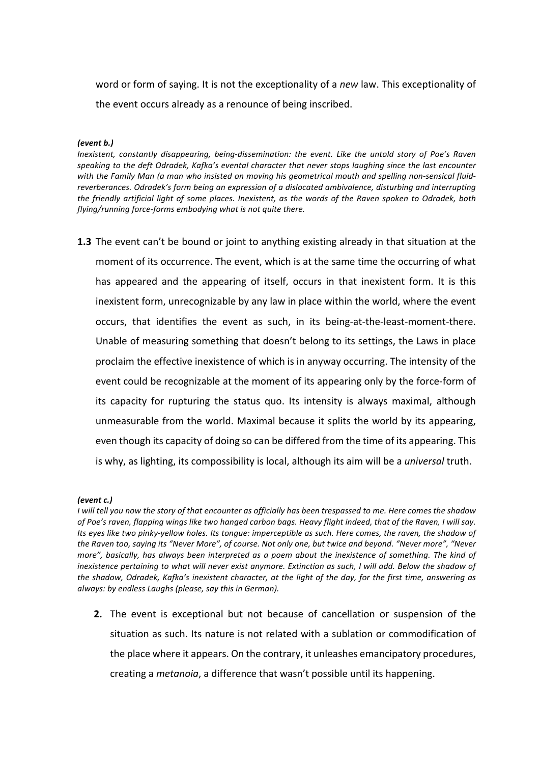word or form of saying. It is not the exceptionality of a *new* law. This exceptionality of the event occurs already as a renounce of being inscribed.

### *(event b.)*

*Inexistent, constantly disappearing, being-dissemination: the event. Like the untold story of Poe's Raven* speaking to the deft Odradek, Kafka's evental character that never stops laughing since the last encounter with the Family Man (a man who insisted on moving his geometrical mouth and spelling non-sensical fluidreverberances. Odradek's form being an expression of a dislocated ambivalence, disturbing and interrupting the friendly artificial light of some places. Inexistent, as the words of the Raven spoken to Odradek, both *flying/running force-forms embodying what is not quite there.* 

**1.3** The event can't be bound or joint to anything existing already in that situation at the moment of its occurrence. The event, which is at the same time the occurring of what has appeared and the appearing of itself, occurs in that inexistent form. It is this inexistent form, unrecognizable by any law in place within the world, where the event occurs, that identifies the event as such, in its being-at-the-least-moment-there. Unable of measuring something that doesn't belong to its settings, the Laws in place proclaim the effective inexistence of which is in anyway occurring. The intensity of the event could be recognizable at the moment of its appearing only by the force-form of its capacity for rupturing the status quo. Its intensity is always maximal, although unmeasurable from the world. Maximal because it splits the world by its appearing, even though its capacity of doing so can be differed from the time of its appearing. This is why, as lighting, its compossibility is local, although its aim will be a *universal* truth.

### *(event c.)*

*I* will tell you now the story of that encounter as officially has been trespassed to me. Here comes the shadow of Poe's raven, flapping wings like two hanged carbon bags. Heavy flight indeed, that of the Raven, I will say. Its eyes like two pinky-yellow holes. Its tongue: imperceptible as such. Here comes, the raven, the shadow of the Raven too, saying its "Never More", of course. Not only one, but twice and beyond. "Never more", "Never more", basically, has always been interpreted as a poem about the inexistence of something. The kind of inexistence pertaining to what will never exist anymore. Extinction as such, I will add. Below the shadow of the shadow, Odradek, Kafka's inexistent character, at the light of the day, for the first time, answering as *always:* by endless Laughs (please, say this in German).

**2.** The event is exceptional but not because of cancellation or suspension of the situation as such. Its nature is not related with a sublation or commodification of the place where it appears. On the contrary, it unleashes emancipatory procedures, creating a *metanoia*, a difference that wasn't possible until its happening.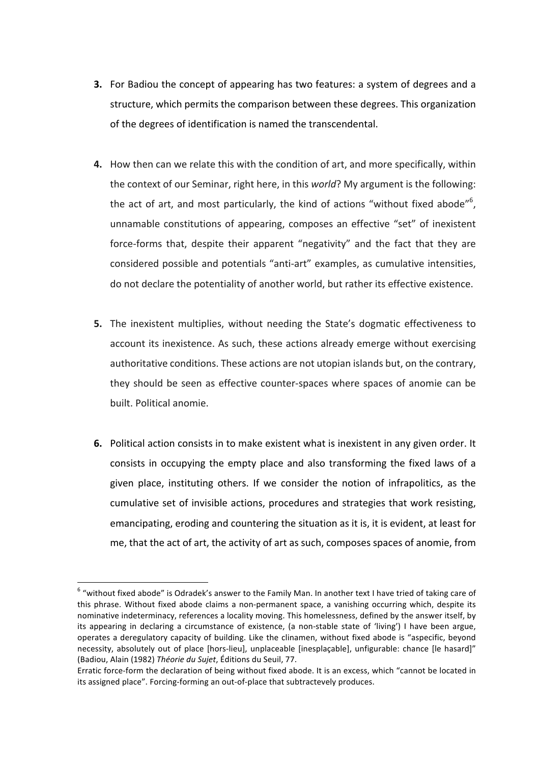- **3.** For Badiou the concept of appearing has two features: a system of degrees and a structure, which permits the comparison between these degrees. This organization of the degrees of identification is named the transcendental.
- **4.** How then can we relate this with the condition of art, and more specifically, within the context of our Seminar, right here, in this *world*? My argument is the following: the act of art, and most particularly, the kind of actions "without fixed abode"<sup>6</sup>, unnamable constitutions of appearing, composes an effective "set" of inexistent force-forms that, despite their apparent "negativity" and the fact that they are considered possible and potentials "anti-art" examples, as cumulative intensities, do not declare the potentiality of another world, but rather its effective existence.
- **5.** The inexistent multiplies, without needing the State's dogmatic effectiveness to account its inexistence. As such, these actions already emerge without exercising authoritative conditions. These actions are not utopian islands but, on the contrary, they should be seen as effective counter-spaces where spaces of anomie can be built. Political anomie.
- **6.** Political action consists in to make existent what is inexistent in any given order. It consists in occupying the empty place and also transforming the fixed laws of a given place, instituting others. If we consider the notion of infrapolitics, as the cumulative set of invisible actions, procedures and strategies that work resisting, emancipating, eroding and countering the situation as it is, it is evident, at least for me, that the act of art, the activity of art as such, composes spaces of anomie, from

 $6$  "without fixed abode" is Odradek's answer to the Family Man. In another text I have tried of taking care of this phrase. Without fixed abode claims a non-permanent space, a vanishing occurring which, despite its nominative indeterminacy, references a locality moving. This homelessness, defined by the answer itself, by its appearing in declaring a circumstance of existence, (a non-stable state of 'living') I have been argue, operates a deregulatory capacity of building. Like the clinamen, without fixed abode is "aspecific, beyond necessity, absolutely out of place [hors-lieu], unplaceable [inesplaçable], unfigurable: chance [le hasard]" (Badiou, Alain (1982) *Théorie du Sujet*, Éditions du Seuil, 77.

Erratic force-form the declaration of being without fixed abode. It is an excess, which "cannot be located in its assigned place". Forcing-forming an out-of-place that subtractevely produces.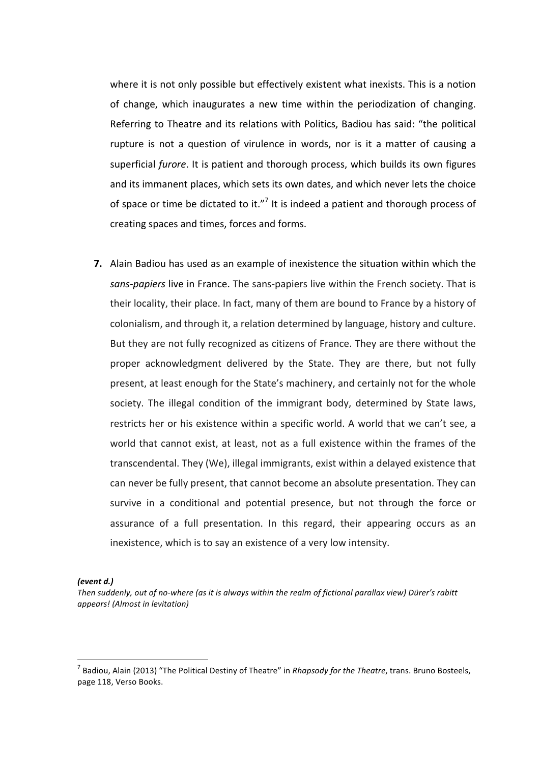where it is not only possible but effectively existent what inexists. This is a notion of change, which inaugurates a new time within the periodization of changing. Referring to Theatre and its relations with Politics, Badiou has said: "the political rupture is not a question of virulence in words, nor is it a matter of causing a superficial *furore*. It is patient and thorough process, which builds its own figures and its immanent places, which sets its own dates, and which never lets the choice of space or time be dictated to it."<sup>7</sup> It is indeed a patient and thorough process of creating spaces and times, forces and forms.

**7.** Alain Badiou has used as an example of inexistence the situation within which the sans-papiers live in France. The sans-papiers live within the French society. That is their locality, their place. In fact, many of them are bound to France by a history of colonialism, and through it, a relation determined by language, history and culture. But they are not fully recognized as citizens of France. They are there without the proper acknowledgment delivered by the State. They are there, but not fully present, at least enough for the State's machinery, and certainly not for the whole society. The illegal condition of the immigrant body, determined by State laws, restricts her or his existence within a specific world. A world that we can't see, a world that cannot exist, at least, not as a full existence within the frames of the transcendental. They (We), illegal immigrants, exist within a delayed existence that can never be fully present, that cannot become an absolute presentation. They can survive in a conditional and potential presence, but not through the force or assurance of a full presentation. In this regard, their appearing occurs as an inexistence, which is to say an existence of a very low intensity.

*(event d.)*

Then suddenly, out of no-where (as it is always within the realm of fictional parallax view) Dürer's rabitt *appears! (Almost in levitation)*

<sup>&</sup>lt;sup>7</sup> Badiou, Alain (2013) "The Political Destiny of Theatre" in *Rhapsody for the Theatre*, trans. Bruno Bosteels, page 118, Verso Books.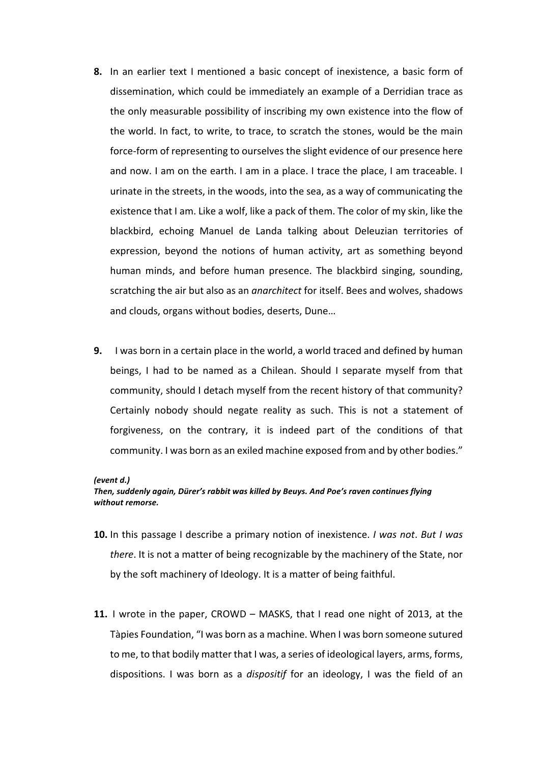- **8.** In an earlier text I mentioned a basic concept of inexistence, a basic form of dissemination, which could be immediately an example of a Derridian trace as the only measurable possibility of inscribing my own existence into the flow of the world. In fact, to write, to trace, to scratch the stones, would be the main force-form of representing to ourselves the slight evidence of our presence here and now. I am on the earth. I am in a place. I trace the place, I am traceable. I urinate in the streets, in the woods, into the sea, as a way of communicating the existence that I am. Like a wolf, like a pack of them. The color of my skin, like the blackbird, echoing Manuel de Landa talking about Deleuzian territories of expression, beyond the notions of human activity, art as something beyond human minds, and before human presence. The blackbird singing, sounding, scratching the air but also as an *anarchitect* for itself. Bees and wolves, shadows and clouds, organs without bodies, deserts, Dune...
- **9.** I was born in a certain place in the world, a world traced and defined by human beings, I had to be named as a Chilean. Should I separate myself from that community, should I detach myself from the recent history of that community? Certainly nobody should negate reality as such. This is not a statement of forgiveness, on the contrary, it is indeed part of the conditions of that community. I was born as an exiled machine exposed from and by other bodies."

### *(event d.)*

### Then, suddenly again, Dürer's rabbit was killed by Beuys. And Poe's raven continues flying *without remorse.*

- **10.** In this passage I describe a primary notion of inexistence. *I* was not. But *I* was *there*. It is not a matter of being recognizable by the machinery of the State, nor by the soft machinery of Ideology. It is a matter of being faithful.
- **11.** I wrote in the paper, CROWD MASKS, that I read one night of 2013, at the Tàpies Foundation, "I was born as a machine. When I was born someone sutured to me, to that bodily matter that I was, a series of ideological layers, arms, forms, dispositions. I was born as a *dispositif* for an ideology, I was the field of an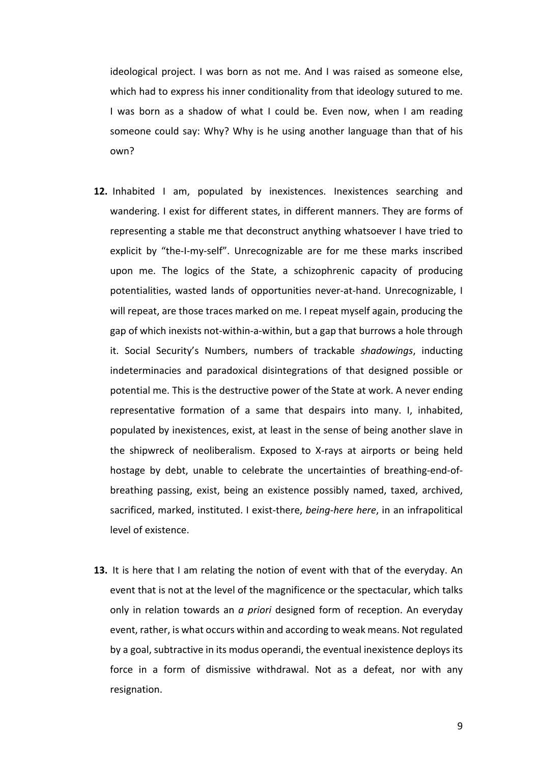ideological project. I was born as not me. And I was raised as someone else, which had to express his inner conditionality from that ideology sutured to me. I was born as a shadow of what I could be. Even now, when I am reading someone could say: Why? Why is he using another language than that of his own?

- **12.** Inhabited I am, populated by inexistences. Inexistences searching and wandering. I exist for different states, in different manners. They are forms of representing a stable me that deconstruct anything whatsoever I have tried to explicit by "the-I-my-self". Unrecognizable are for me these marks inscribed upon me. The logics of the State, a schizophrenic capacity of producing potentialities, wasted lands of opportunities never-at-hand. Unrecognizable, I will repeat, are those traces marked on me. I repeat myself again, producing the gap of which inexists not-within-a-within, but a gap that burrows a hole through it. Social Security's Numbers, numbers of trackable *shadowings*, inducting indeterminacies and paradoxical disintegrations of that designed possible or potential me. This is the destructive power of the State at work. A never ending representative formation of a same that despairs into many. I, inhabited, populated by inexistences, exist, at least in the sense of being another slave in the shipwreck of neoliberalism. Exposed to X-rays at airports or being held hostage by debt, unable to celebrate the uncertainties of breathing-end-ofbreathing passing, exist, being an existence possibly named, taxed, archived, sacrificed, marked, instituted. I exist-there, *being-here here*, in an infrapolitical level of existence.
- **13.** It is here that I am relating the notion of event with that of the everyday. An event that is not at the level of the magnificence or the spectacular, which talks only in relation towards an *a priori* designed form of reception. An everyday event, rather, is what occurs within and according to weak means. Not regulated by a goal, subtractive in its modus operandi, the eventual inexistence deploys its force in a form of dismissive withdrawal. Not as a defeat, nor with any resignation.

9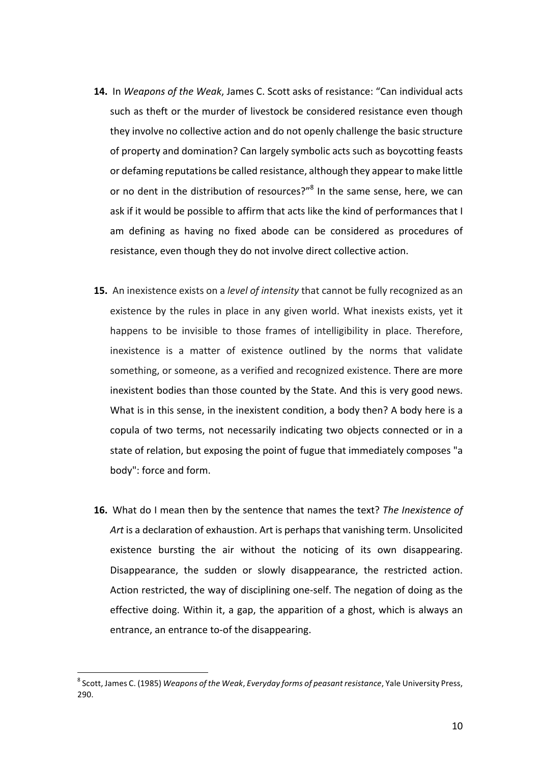- **14.** In *Weapons of the Weak*, James C. Scott asks of resistance: "Can individual acts such as theft or the murder of livestock be considered resistance even though they involve no collective action and do not openly challenge the basic structure of property and domination? Can largely symbolic acts such as boycotting feasts or defaming reputations be called resistance, although they appear to make little or no dent in the distribution of resources?"<sup>8</sup> In the same sense, here, we can ask if it would be possible to affirm that acts like the kind of performances that I am defining as having no fixed abode can be considered as procedures of resistance, even though they do not involve direct collective action.
- **15.** An inexistence exists on a *level of intensity* that cannot be fully recognized as an existence by the rules in place in any given world. What inexists exists, yet it happens to be invisible to those frames of intelligibility in place. Therefore, inexistence is a matter of existence outlined by the norms that validate something, or someone, as a verified and recognized existence. There are more inexistent bodies than those counted by the State. And this is very good news. What is in this sense, in the inexistent condition, a body then? A body here is a copula of two terms, not necessarily indicating two objects connected or in a state of relation, but exposing the point of fugue that immediately composes "a body": force and form.
- **16.** What do I mean then by the sentence that names the text? *The Inexistence of* Art is a declaration of exhaustion. Art is perhaps that vanishing term. Unsolicited existence bursting the air without the noticing of its own disappearing. Disappearance, the sudden or slowly disappearance, the restricted action. Action restricted, the way of disciplining one-self. The negation of doing as the effective doing. Within it, a gap, the apparition of a ghost, which is always an entrance, an entrance to-of the disappearing.

<sup>&</sup>lt;sup>8</sup> Scott, James C. (1985) *Weapons of the Weak, Everyday forms of peasant resistance*, Yale University Press, 290.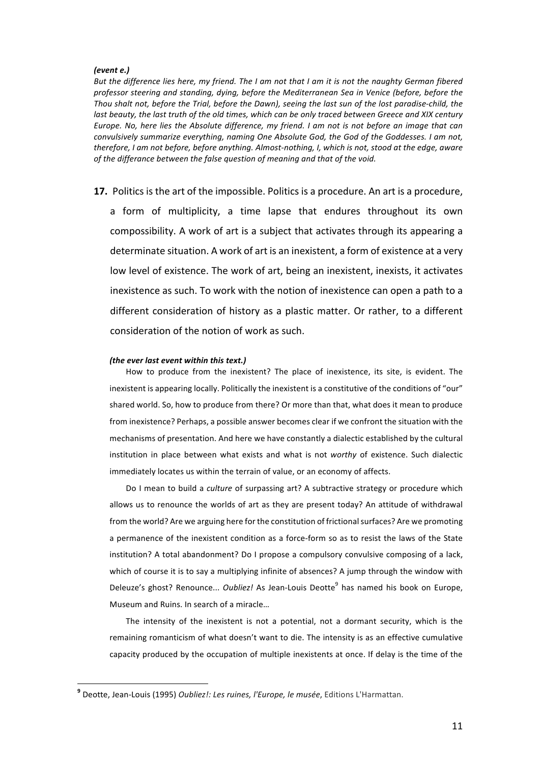### *(event e.)*

But the difference lies here, my friend. The I am not that I am it is not the naughty German fibered professor steering and standing, dying, before the Mediterranean Sea in Venice (before, before the Thou shalt not, before the Trial, before the Dawn), seeing the last sun of the lost paradise-child, the *last beauty, the last truth of the old times, which can be only traced between Greece and XIX century Europe.* No, here lies the Absolute difference, my friend. I am not is not before an image that can *convulsively summarize everything, naming One Absolute God, the God of the Goddesses. I am not, therefore, I am not before, before anything. Almost-nothing, I, which is not, stood at the edge, aware* of the differance between the false question of meaning and that of the void.

**17.** Politics is the art of the impossible. Politics is a procedure. An art is a procedure,

a form of multiplicity, a time lapse that endures throughout its own compossibility. A work of art is a subject that activates through its appearing a determinate situation. A work of art is an inexistent, a form of existence at a very low level of existence. The work of art, being an inexistent, inexists, it activates inexistence as such. To work with the notion of inexistence can open a path to a different consideration of history as a plastic matter. Or rather, to a different consideration of the notion of work as such.

### *(the ever last event within this text.)*

How to produce from the inexistent? The place of inexistence, its site, is evident. The inexistent is appearing locally. Politically the inexistent is a constitutive of the conditions of "our" shared world. So, how to produce from there? Or more than that, what does it mean to produce from inexistence? Perhaps, a possible answer becomes clear if we confront the situation with the mechanisms of presentation. And here we have constantly a dialectic established by the cultural institution in place between what exists and what is not worthy of existence. Such dialectic immediately locates us within the terrain of value, or an economy of affects.

Do I mean to build a *culture* of surpassing art? A subtractive strategy or procedure which allows us to renounce the worlds of art as they are present today? An attitude of withdrawal from the world? Are we arguing here for the constitution of frictional surfaces? Are we promoting a permanence of the inexistent condition as a force-form so as to resist the laws of the State institution? A total abandonment? Do I propose a compulsory convulsive composing of a lack, which of course it is to say a multiplying infinite of absences? A jump through the window with Deleuze's ghost? Renounce... *Oubliez!* As Jean-Louis Deotte<sup>9</sup> has named his book on Europe, Museum and Ruins. In search of a miracle...

The intensity of the inexistent is not a potential, not a dormant security, which is the remaining romanticism of what doesn't want to die. The intensity is as an effective cumulative capacity produced by the occupation of multiple inexistents at once. If delay is the time of the

<sup>&</sup>lt;sup>9</sup> Deotte, Jean-Louis (1995) *Oubliez!: Les ruines, l'Europe, le musée*, Editions L'Harmattan.